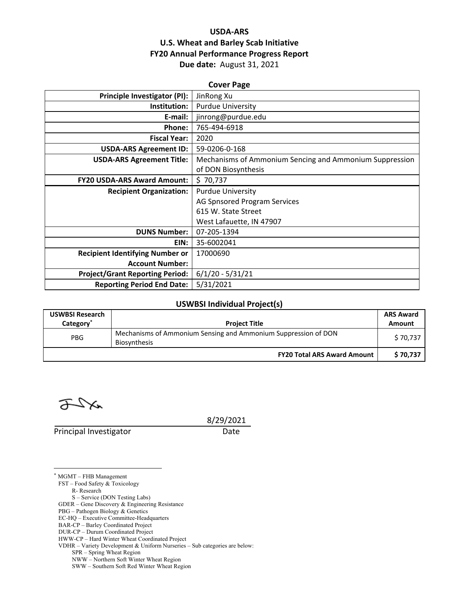## **USDA‐ARS U.S. Wheat and Barley Scab Initiative FY20 Annual Performance Progress Report Due date:** August 31, 2021

| <b>Cover Page</b>                      |                                                         |  |  |  |
|----------------------------------------|---------------------------------------------------------|--|--|--|
| <b>Principle Investigator (PI):</b>    | JinRong Xu                                              |  |  |  |
| Institution:                           | <b>Purdue University</b>                                |  |  |  |
| E-mail:                                | jinrong@purdue.edu                                      |  |  |  |
| <b>Phone:</b>                          | 765-494-6918                                            |  |  |  |
| <b>Fiscal Year:</b>                    | 2020                                                    |  |  |  |
| <b>USDA-ARS Agreement ID:</b>          | 59-0206-0-168                                           |  |  |  |
| <b>USDA-ARS Agreement Title:</b>       | Mechanisms of Ammonium Sencing and Ammonium Suppression |  |  |  |
|                                        | of DON Biosynthesis                                     |  |  |  |
| <b>FY20 USDA-ARS Award Amount:</b>     | \$70,737                                                |  |  |  |
| <b>Recipient Organization:</b>         | <b>Purdue University</b>                                |  |  |  |
|                                        | AG Spnsored Program Services                            |  |  |  |
|                                        | 615 W. State Street                                     |  |  |  |
|                                        | West Lafauette, IN 47907                                |  |  |  |
| <b>DUNS Number:</b>                    | 07-205-1394                                             |  |  |  |
| EIN:                                   | 35-6002041                                              |  |  |  |
| <b>Recipient Identifying Number or</b> | 17000690                                                |  |  |  |
| <b>Account Number:</b>                 |                                                         |  |  |  |
| <b>Project/Grant Reporting Period:</b> | $6/1/20 - 5/31/21$                                      |  |  |  |
| <b>Reporting Period End Date:</b>      | 5/31/2021                                               |  |  |  |

### **USWBSI Individual Project(s)**

| <b>USWBSI Research</b><br>Category <sup>*</sup> | <b>Project Title</b>                                                                  | <b>ARS Award</b><br>Amount |
|-------------------------------------------------|---------------------------------------------------------------------------------------|----------------------------|
| <b>PBG</b>                                      | Mechanisms of Ammonium Sensing and Ammonium Suppression of DON<br><b>Biosynthesis</b> | \$70,737                   |
|                                                 | <b>FY20 Total ARS Award Amount</b>                                                    | \$70.737                   |

<u>a</u>Xa

 $\overline{a}$ 

Principal Investigator Date

8/29/2021

\* MGMT – FHB Management FST – Food Safety & Toxicology R- Research S – Service (DON Testing Labs) GDER – Gene Discovery & Engineering Resistance PBG – Pathogen Biology & Genetics EC-HQ – Executive Committee-Headquarters

- BAR-CP Barley Coordinated Project
- DUR-CP Durum Coordinated Project

HWW-CP – Hard Winter Wheat Coordinated Project

VDHR – Variety Development & Uniform Nurseries – Sub categories are below:

SPR – Spring Wheat Region

NWW – Northern Soft Winter Wheat Region

SWW – Southern Soft Red Winter Wheat Region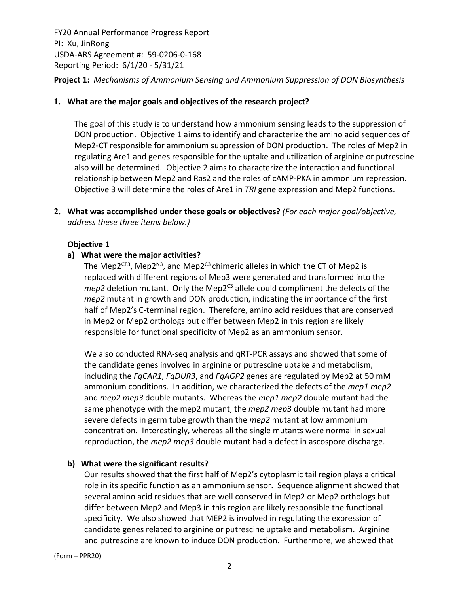FY20 Annual Performance Progress Report PI: Xu, JinRong USDA‐ARS Agreement #: 59‐0206‐0‐168 Reporting Period: 6/1/20 ‐ 5/31/21 **Project 1:** *Mechanisms of Ammonium Sensing and Ammonium Suppression of DON Biosynthesis*

#### **1. What are the major goals and objectives of the research project?**

The goal of this study is to understand how ammonium sensing leads to the suppression of DON production. Objective 1 aims to identify and characterize the amino acid sequences of Mep2‐CT responsible for ammonium suppression of DON production. The roles of Mep2 in regulating Are1 and genes responsible for the uptake and utilization of arginine or putrescine also will be determined. Objective 2 aims to characterize the interaction and functional relationship between Mep2 and Ras2 and the roles of cAMP‐PKA in ammonium repression. Objective 3 will determine the roles of Are1 in *TRI* gene expression and Mep2 functions.

**2. What was accomplished under these goals or objectives?** *(For each major goal/objective, address these three items below.)*

### **Objective 1**

### **a) What were the major activities?**

The Mep2 $CT3$ , Mep2 $N3$ , and Mep2 $CT3$  chimeric alleles in which the CT of Mep2 is replaced with different regions of Mep3 were generated and transformed into the  $mep2$  deletion mutant. Only the Mep2<sup>C3</sup> allele could compliment the defects of the *mep2* mutant in growth and DON production, indicating the importance of the first half of Mep2's C-terminal region. Therefore, amino acid residues that are conserved in Mep2 or Mep2 orthologs but differ between Mep2 in this region are likely responsible for functional specificity of Mep2 as an ammonium sensor.

We also conducted RNA‐seq analysis and qRT‐PCR assays and showed that some of the candidate genes involved in arginine or putrescine uptake and metabolism, including the *FgCAR1*, *FgDUR3*, and *FgAGP2* genes are regulated by Mep2 at 50 mM ammonium conditions. In addition, we characterized the defects of the *mep1 mep2* and *mep2 mep3* double mutants. Whereas the *mep1 mep2* double mutant had the same phenotype with the mep2 mutant, the *mep2 mep3* double mutant had more severe defects in germ tube growth than the *mep2* mutant at low ammonium concentration. Interestingly, whereas all the single mutants were normal in sexual reproduction, the *mep2 mep3* double mutant had a defect in ascospore discharge.

#### **b) What were the significant results?**

Our results showed that the first half of Mep2's cytoplasmic tail region plays a critical role in its specific function as an ammonium sensor. Sequence alignment showed that several amino acid residues that are well conserved in Mep2 or Mep2 orthologs but differ between Mep2 and Mep3 in this region are likely responsible the functional specificity. We also showed that MEP2 is involved in regulating the expression of candidate genes related to arginine or putrescine uptake and metabolism. Arginine and putrescine are known to induce DON production. Furthermore, we showed that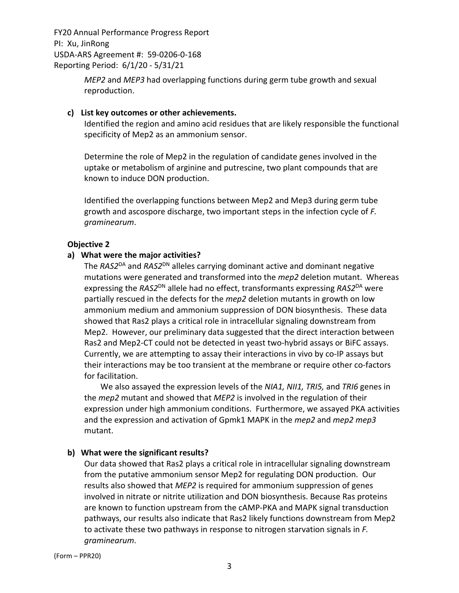> *MEP2* and *MEP3* had overlapping functions during germ tube growth and sexual reproduction.

#### **c) List key outcomes or other achievements.**

Identified the region and amino acid residues that are likely responsible the functional specificity of Mep2 as an ammonium sensor.

Determine the role of Mep2 in the regulation of candidate genes involved in the uptake or metabolism of arginine and putrescine, two plant compounds that are known to induce DON production.

Identified the overlapping functions between Mep2 and Mep3 during germ tube growth and ascospore discharge, two important steps in the infection cycle of *F. graminearum*.

#### **Objective 2**

#### **a) What were the major activities?**

The *RAS2*DA and *RAS2*DN alleles carrying dominant active and dominant negative mutations were generated and transformed into the *mep2* deletion mutant. Whereas expressing the *RAS2*DN allele had no effect, transformants expressing *RAS2*DA were partially rescued in the defects for the *mep2* deletion mutants in growth on low ammonium medium and ammonium suppression of DON biosynthesis. These data showed that Ras2 plays a critical role in intracellular signaling downstream from Mep2. However, our preliminary data suggested that the direct interaction between Ras2 and Mep2-CT could not be detected in yeast two-hybrid assays or BiFC assays. Currently, we are attempting to assay their interactions in vivo by co‐IP assays but their interactions may be too transient at the membrane or require other co‐factors for facilitation.

 We also assayed the expression levels of the *NIA1, NII1, TRI5,* and *TRI6* genes in the *mep2* mutant and showed that *MEP2* is involved in the regulation of their expression under high ammonium conditions. Furthermore, we assayed PKA activities and the expression and activation of Gpmk1 MAPK in the *mep2* and *mep2 mep3* mutant.

#### **b) What were the significant results?**

Our data showed that Ras2 plays a critical role in intracellular signaling downstream from the putative ammonium sensor Mep2 for regulating DON production. Our results also showed that *MEP2* is required for ammonium suppression of genes involved in nitrate or nitrite utilization and DON biosynthesis. Because Ras proteins are known to function upstream from the cAMP‐PKA and MAPK signal transduction pathways, our results also indicate that Ras2 likely functions downstream from Mep2 to activate these two pathways in response to nitrogen starvation signals in *F. graminearum*.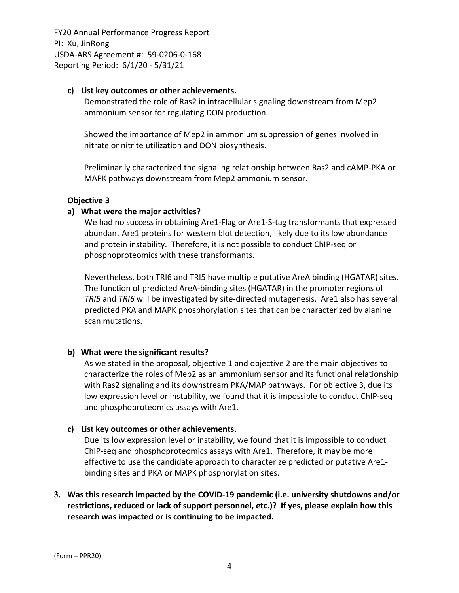#### **c) List key outcomes or other achievements.**

Demonstrated the role of Ras2 in intracellular signaling downstream from Mep2 ammonium sensor for regulating DON production.

Showed the importance of Mep2 in ammonium suppression of genes involved in nitrate or nitrite utilization and DON biosynthesis.

Preliminarily characterized the signaling relationship between Ras2 and cAMP‐PKA or MAPK pathways downstream from Mep2 ammonium sensor.

### **Objective 3**

## **a) What were the major activities?**

We had no success in obtaining Are1-Flag or Are1-S-tag transformants that expressed abundant Are1 proteins for western blot detection, likely due to its low abundance and protein instability. Therefore, it is not possible to conduct ChIP‐seq or phosphoproteomics with these transformants.

Nevertheless, both TRI6 and TRI5 have multiple putative AreA binding (HGATAR) sites. The function of predicted AreA‐binding sites (HGATAR) in the promoter regions of *TRI5* and *TRI6* will be investigated by site‐directed mutagenesis. Are1 also has several predicted PKA and MAPK phosphorylation sites that can be characterized by alanine scan mutations.

## **b) What were the significant results?**

As we stated in the proposal, objective 1 and objective 2 are the main objectives to characterize the roles of Mep2 as an ammonium sensor and its functional relationship with Ras2 signaling and its downstream PKA/MAP pathways. For objective 3, due its low expression level or instability, we found that it is impossible to conduct ChIP‐seq and phosphoproteomics assays with Are1.

## **c) List key outcomes or other achievements.**

Due its low expression level or instability, we found that it is impossible to conduct ChIP‐seq and phosphoproteomics assays with Are1. Therefore, it may be more effective to use the candidate approach to characterize predicted or putative Are1‐ binding sites and PKA or MAPK phosphorylation sites.

# **3. Was this research impacted by the COVID‐19 pandemic (i.e. university shutdowns and/or restrictions, reduced or lack of support personnel, etc.)? If yes, please explain how this research was impacted or is continuing to be impacted.**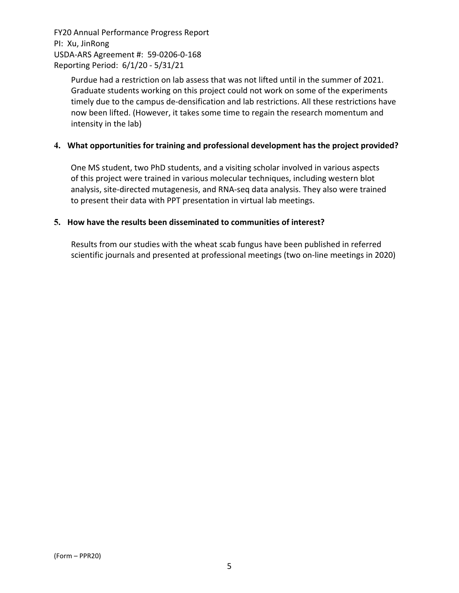> Purdue had a restriction on lab assess that was not lifted until in the summer of 2021. Graduate students working on this project could not work on some of the experiments timely due to the campus de‐densification and lab restrictions. All these restrictions have now been lifted. (However, it takes some time to regain the research momentum and intensity in the lab)

## **4. What opportunities for training and professional development has the project provided?**

One MS student, two PhD students, and a visiting scholar involved in various aspects of this project were trained in various molecular techniques, including western blot analysis, site‐directed mutagenesis, and RNA‐seq data analysis. They also were trained to present their data with PPT presentation in virtual lab meetings.

#### **5. How have the results been disseminated to communities of interest?**

Results from our studies with the wheat scab fungus have been published in referred scientific journals and presented at professional meetings (two on‐line meetings in 2020)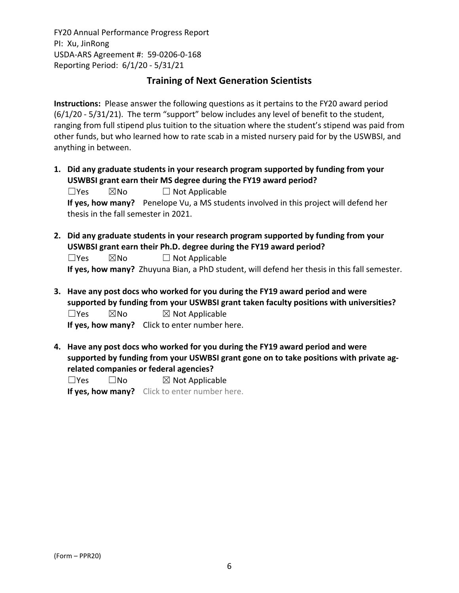# **Training of Next Generation Scientists**

**Instructions:** Please answer the following questions as it pertains to the FY20 award period (6/1/20 ‐ 5/31/21). The term "support" below includes any level of benefit to the student, ranging from full stipend plus tuition to the situation where the student's stipend was paid from other funds, but who learned how to rate scab in a misted nursery paid for by the USWBSI, and anything in between.

**1. Did any graduate students in your research program supported by funding from your USWBSI grant earn their MS degree during the FY19 award period?**

| $\square$ Yes | ⊠No | $\Box$ Not Applicable                                                                 |
|---------------|-----|---------------------------------------------------------------------------------------|
|               |     | If yes, how many? Penelope Vu, a MS students involved in this project will defend her |
|               |     | thesis in the fall semester in 2021.                                                  |

- **2. Did any graduate students in your research program supported by funding from your USWBSI grant earn their Ph.D. degree during the FY19 award period?** ☐Yes ☒No ☐ Not Applicable **If yes, how many?** Zhuyuna Bian, a PhD student, will defend her thesis in this fall semester.
- **3. Have any post docs who worked for you during the FY19 award period and were supported by funding from your USWBSI grant taken faculty positions with universities?**  $\square$ Yes  $\square$ No  $\square$  Not Applicable **If yes, how many?** Click to enter number here.
- **4. Have any post docs who worked for you during the FY19 award period and were supported by funding from your USWBSI grant gone on to take positions with private ag‐ related companies or federal agencies?**

| $\Box$ Yes | $\square$ No | $\boxtimes$ Not Applicable                    |
|------------|--------------|-----------------------------------------------|
|            |              | If yes, how many? Click to enter number here. |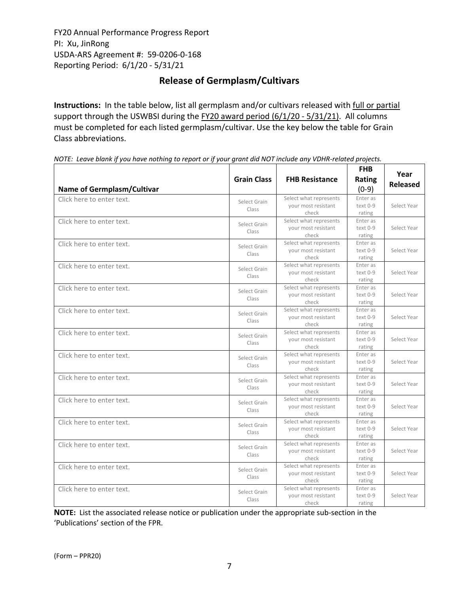# **Release of Germplasm/Cultivars**

**Instructions:** In the table below, list all germplasm and/or cultivars released with full or partial support through the USWBSI during the FY20 award period (6/1/20 ‐ 5/31/21). All columns must be completed for each listed germplasm/cultivar. Use the key below the table for Grain Class abbreviations. 

| <b>Name of Germplasm/Cultivar</b> | <b>Grain Class</b>    | <b>FHB Resistance</b>                                  | <b>FHB</b><br>Rating<br>$(0-9)$ | Year<br><b>Released</b> |
|-----------------------------------|-----------------------|--------------------------------------------------------|---------------------------------|-------------------------|
| Click here to enter text.         | Select Grain<br>Class | Select what represents<br>your most resistant<br>check | Enter as<br>text 0-9<br>rating  | Select Year             |
| Click here to enter text.         | Select Grain<br>Class | Select what represents<br>your most resistant<br>check | Enter as<br>text 0-9<br>rating  | Select Year             |
| Click here to enter text.         | Select Grain<br>Class | Select what represents<br>your most resistant<br>check | Enter as<br>text 0-9<br>rating  | Select Year             |
| Click here to enter text.         | Select Grain<br>Class | Select what represents<br>your most resistant<br>check | Enter as<br>text 0-9<br>rating  | Select Year             |
| Click here to enter text.         | Select Grain<br>Class | Select what represents<br>your most resistant<br>check | Enter as<br>text 0-9<br>rating  | Select Year             |
| Click here to enter text.         | Select Grain<br>Class | Select what represents<br>your most resistant<br>check | Enter as<br>text 0-9<br>rating  | Select Year             |
| Click here to enter text.         | Select Grain<br>Class | Select what represents<br>your most resistant<br>check | Enter as<br>text 0-9<br>rating  | Select Year             |
| Click here to enter text.         | Select Grain<br>Class | Select what represents<br>your most resistant<br>check | Enter as<br>text 0-9<br>rating  | Select Year             |
| Click here to enter text.         | Select Grain<br>Class | Select what represents<br>your most resistant<br>check | Enter as<br>text 0-9<br>rating  | Select Year             |
| Click here to enter text.         | Select Grain<br>Class | Select what represents<br>your most resistant<br>check | Enter as<br>text 0-9<br>rating  | Select Year             |
| Click here to enter text.         | Select Grain<br>Class | Select what represents<br>your most resistant<br>check | Enter as<br>text 0-9<br>rating  | Select Year             |
| Click here to enter text.         | Select Grain<br>Class | Select what represents<br>your most resistant<br>check | Enter as<br>text 0-9<br>rating  | Select Year             |
| Click here to enter text.         | Select Grain<br>Class | Select what represents<br>your most resistant<br>check | Enter as<br>text 0-9<br>rating  | Select Year             |
| Click here to enter text.         | Select Grain<br>Class | Select what represents<br>your most resistant<br>check | Enter as<br>text 0-9<br>rating  | Select Year             |

NOTE: Leave blank if you have nothing to report or if your grant did NOT include any VDHR-related projects.

**NOTE:** List the associated release notice or publication under the appropriate sub-section in the 'Publications' section of the FPR.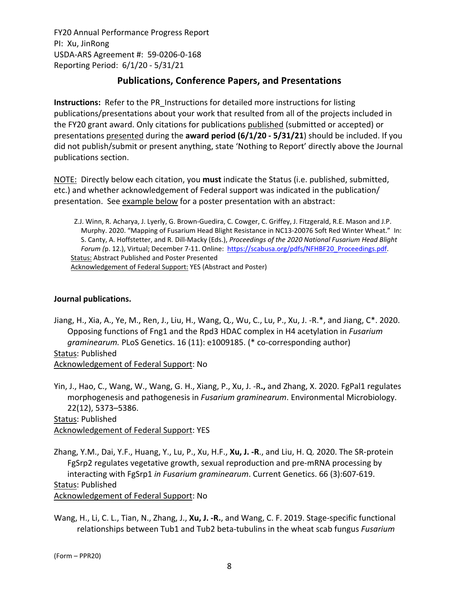# **Publications, Conference Papers, and Presentations**

**Instructions:** Refer to the PR\_Instructions for detailed more instructions for listing publications/presentations about your work that resulted from all of the projects included in the FY20 grant award. Only citations for publications published (submitted or accepted) or presentations presented during the **award period (6/1/20 ‐ 5/31/21**) should be included. If you did not publish/submit or present anything, state 'Nothing to Report' directly above the Journal publications section.

NOTE: Directly below each citation, you **must** indicate the Status (i.e. published, submitted, etc.) and whether acknowledgement of Federal support was indicated in the publication/ presentation. See example below for a poster presentation with an abstract:

Z.J. Winn, R. Acharya, J. Lyerly, G. Brown‐Guedira, C. Cowger, C. Griffey, J. Fitzgerald, R.E. Mason and J.P. Murphy. 2020. "Mapping of Fusarium Head Blight Resistance in NC13‐20076 Soft Red Winter Wheat." In: S. Canty, A. Hoffstetter, and R. Dill‐Macky (Eds.), *Proceedings of the 2020 National Fusarium Head Blight Forum (*p. 12.), Virtual; December 7‐11. Online: https://scabusa.org/pdfs/NFHBF20\_Proceedings.pdf. Status: Abstract Published and Poster Presented Acknowledgement of Federal Support: YES (Abstract and Poster)

## **Journal publications.**

Jiang, H., Xia, A., Ye, M., Ren, J., Liu, H., Wang, Q., Wu, C., Lu, P., Xu, J. ‐R.\*, and Jiang, C\*. 2020. Opposing functions of Fng1 and the Rpd3 HDAC complex in H4 acetylation in *Fusarium graminearum.* PLoS Genetics. 16 (11): e1009185. (\* co‐corresponding author) Status: Published Acknowledgement of Federal Support: No

Yin, J., Hao, C., Wang, W., Wang, G. H., Xiang, P., Xu, J. ‐R**.,** and Zhang, X. 2020. FgPal1 regulates morphogenesis and pathogenesis in *Fusarium graminearum*. Environmental Microbiology. 22(12), 5373–5386.

Status: Published Acknowledgement of Federal Support: YES

Zhang, Y.M., Dai, Y.F., Huang, Y., Lu, P., Xu, H.F., **Xu, J. ‐R**., and Liu, H. Q. 2020. The SR‐protein FgSrp2 regulates vegetative growth, sexual reproduction and pre-mRNA processing by interacting with FgSrp1 *in Fusarium graminearum*. Current Genetics. 66 (3):607‐619. Status: Published Acknowledgement of Federal Support: No

Wang, H., Li, C. L., Tian, N., Zhang, J., **Xu, J. ‐R.**, and Wang, C. F. 2019. Stage‐specific functional relationships between Tub1 and Tub2 beta‐tubulins in the wheat scab fungus *Fusarium*